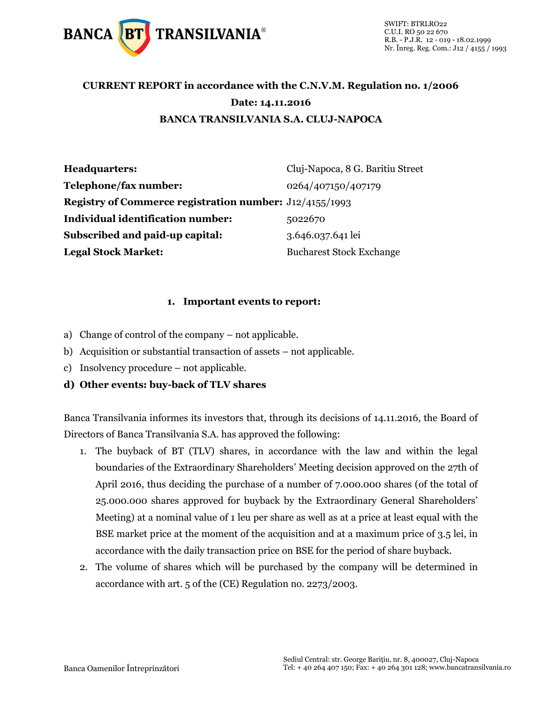

### **CURRENT REPORT in accordance with the C.N.V.M. Regulation no. 1/2006 Date: 14.11.2016 BANCA TRANSILVANIA S.A. CLUJ-NAPOCA**

| Headquarters:                                                  | Cluj-Napoca, 8 G. Baritiu Street |
|----------------------------------------------------------------|----------------------------------|
| Telephone/fax number:                                          | 0264/407150/407179               |
| <b>Registry of Commerce registration number:</b> J12/4155/1993 |                                  |
| <b>Individual identification number:</b>                       | 5022670                          |
| <b>Subscribed and paid-up capital:</b>                         | 3.646.037.641 lei                |
| <b>Legal Stock Market:</b>                                     | <b>Bucharest Stock Exchange</b>  |

#### **1. Important events to report:**

- a) Change of control of the company not applicable.
- b) Acquisition or substantial transaction of assets not applicable.
- c) Insolvency procedure not applicable.

#### **d) Other events: buy-back of TLV shares**

Banca Transilvania informes its investors that, through its decisions of 14.11.2016, the Board of Directors of Banca Transilvania S.A. has approved the following:

- 1. The buyback of BT (TLV) shares, in accordance with the law and within the legal boundaries of the Extraordinary Shareholders' Meeting decision approved on the 27th of April 2016, thus deciding the purchase of a number of 7.000.000 shares (of the total of 25.000.000 shares approved for buyback by the Extraordinary General Shareholders' Meeting) at a nominal value of 1 leu per share as well as at a price at least equal with the BSE market price at the moment of the acquisition and at a maximum price of 3.5 lei, in accordance with the daily transaction price on BSE for the period of share buyback.
- 2. The volume of shares which will be purchased by the company will be determined in accordance with art. 5 of the (CE) Regulation no. 2273/2003.